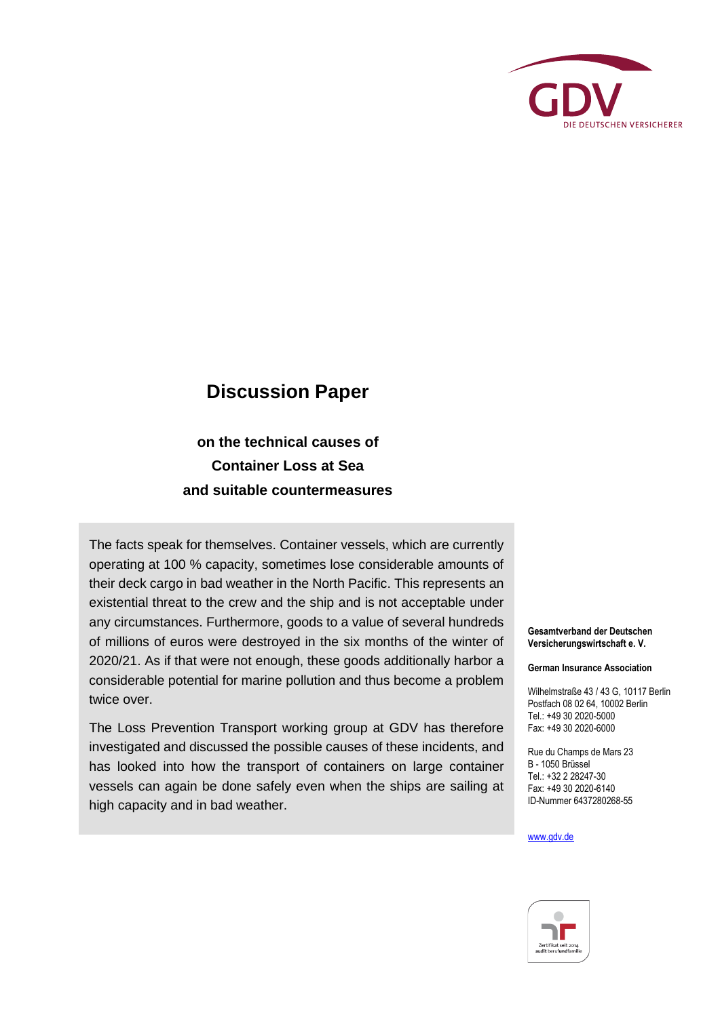

## **Discussion Paper**

**on the technical causes of Container Loss at Sea and suitable countermeasures**

The facts speak for themselves. Container vessels, which are currently operating at 100 % capacity, sometimes lose considerable amounts of their deck cargo in bad weather in the North Pacific. This represents an existential threat to the crew and the ship and is not acceptable under any circumstances. Furthermore, goods to a value of several hundreds of millions of euros were destroyed in the six months of the winter of 2020/21. As if that were not enough, these goods additionally harbor a considerable potential for marine pollution and thus become a problem twice over.

The Loss Prevention Transport working group at GDV has therefore investigated and discussed the possible causes of these incidents, and has looked into how the transport of containers on large container vessels can again be done safely even when the ships are sailing at high capacity and in bad weather.

**Gesamtverband der Deutschen Versicherungswirtschaft e. V.**

**German Insurance Association**

Wilhelmstraße 43 / 43 G, 10117 Berlin Postfach 08 02 64, 10002 Berlin Tel.: +49 30 2020-5000 Fax: +49 30 2020-6000

Rue du Champs de Mars 23 B - 1050 Brüssel Tel.: +32 2 28247-30 Fax: +49 30 2020-6140 ID-Nummer 6437280268-55

#### [www.gdv.de](http://www.gdv.de/)

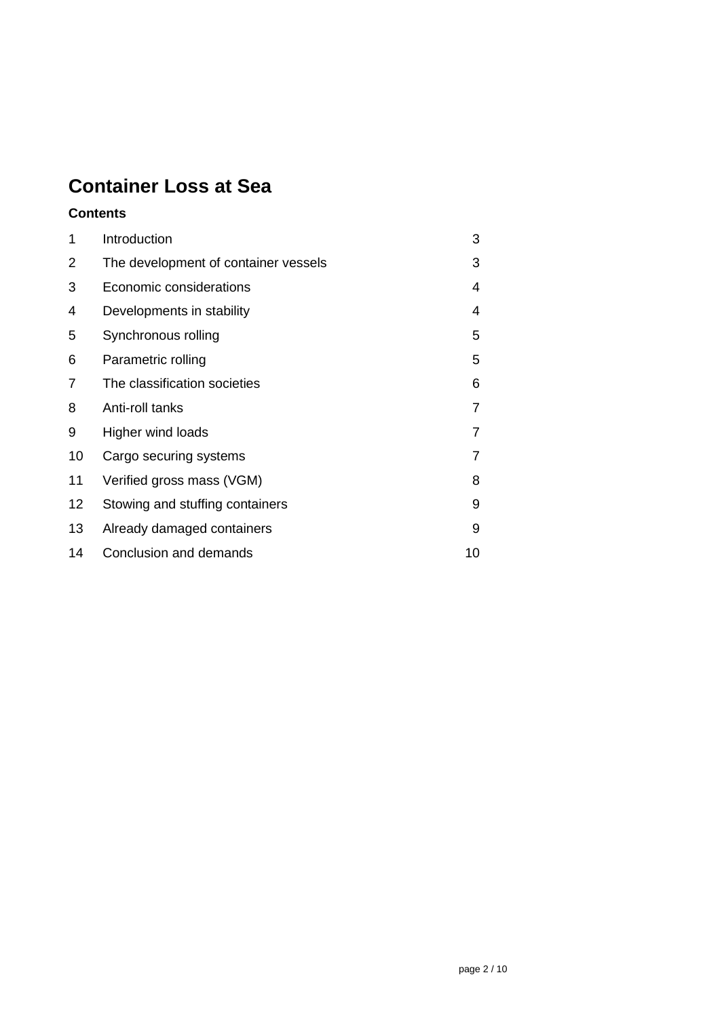# **Container Loss at Sea**

### **Contents**

| 1  | Introduction                         | 3  |
|----|--------------------------------------|----|
| 2  | The development of container vessels | 3  |
| 3  | Economic considerations              | 4  |
| 4  | Developments in stability            | 4  |
| 5  | Synchronous rolling                  | 5  |
| 6  | Parametric rolling                   | 5  |
| 7  | The classification societies         | 6  |
| 8  | Anti-roll tanks                      | 7  |
| 9  | Higher wind loads                    | 7  |
| 10 | Cargo securing systems               | 7  |
| 11 | Verified gross mass (VGM)            | 8  |
| 12 | Stowing and stuffing containers      | 9  |
| 13 | Already damaged containers           | 9  |
| 14 | Conclusion and demands               | 10 |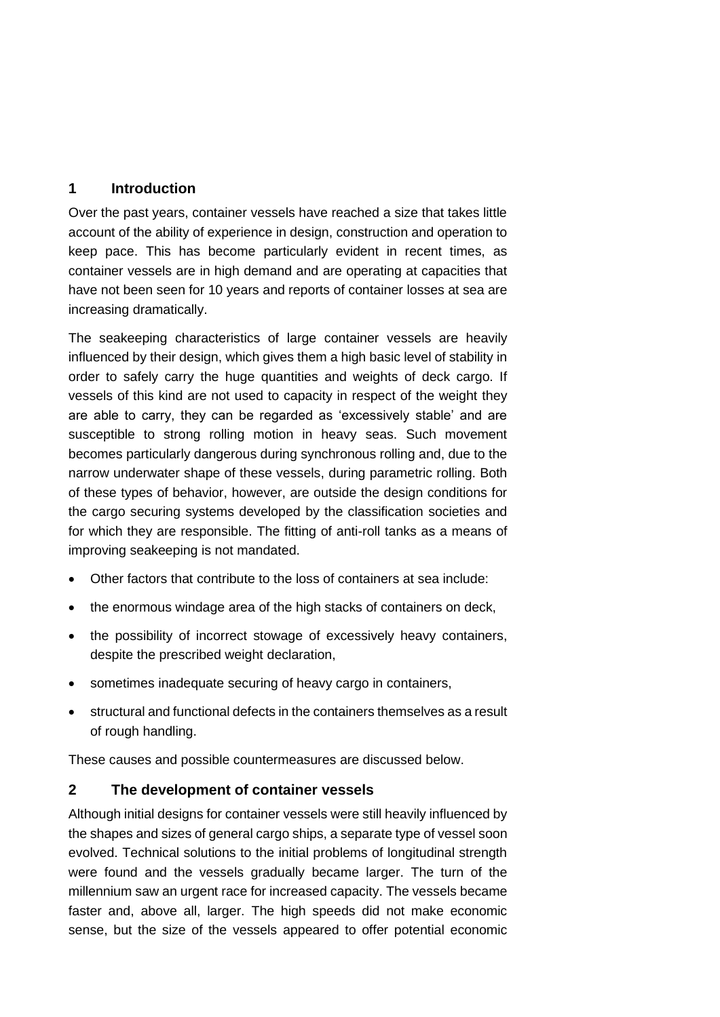#### <span id="page-2-0"></span>**1 Introduction**

Over the past years, container vessels have reached a size that takes little account of the ability of experience in design, construction and operation to keep pace. This has become particularly evident in recent times, as container vessels are in high demand and are operating at capacities that have not been seen for 10 years and reports of container losses at sea are increasing dramatically.

The seakeeping characteristics of large container vessels are heavily influenced by their design, which gives them a high basic level of stability in order to safely carry the huge quantities and weights of deck cargo. If vessels of this kind are not used to capacity in respect of the weight they are able to carry, they can be regarded as 'excessively stable' and are susceptible to strong rolling motion in heavy seas. Such movement becomes particularly dangerous during synchronous rolling and, due to the narrow underwater shape of these vessels, during parametric rolling. Both of these types of behavior, however, are outside the design conditions for the cargo securing systems developed by the classification societies and for which they are responsible. The fitting of anti-roll tanks as a means of improving seakeeping is not mandated.

- Other factors that contribute to the loss of containers at sea include:
- the enormous windage area of the high stacks of containers on deck,
- the possibility of incorrect stowage of excessively heavy containers, despite the prescribed weight declaration,
- sometimes inadequate securing of heavy cargo in containers,
- structural and functional defects in the containers themselves as a result of rough handling.

These causes and possible countermeasures are discussed below.

#### <span id="page-2-1"></span>**2 The development of container vessels**

Although initial designs for container vessels were still heavily influenced by the shapes and sizes of general cargo ships, a separate type of vessel soon evolved. Technical solutions to the initial problems of longitudinal strength were found and the vessels gradually became larger. The turn of the millennium saw an urgent race for increased capacity. The vessels became faster and, above all, larger. The high speeds did not make economic sense, but the size of the vessels appeared to offer potential economic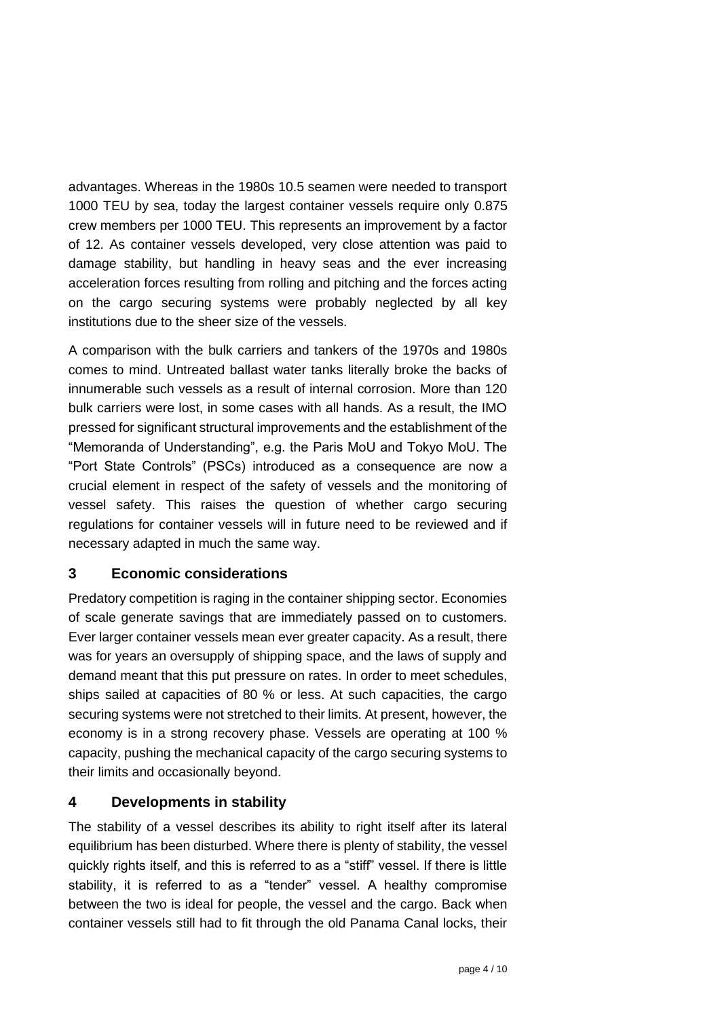advantages. Whereas in the 1980s 10.5 seamen were needed to transport 1000 TEU by sea, today the largest container vessels require only 0.875 crew members per 1000 TEU. This represents an improvement by a factor of 12. As container vessels developed, very close attention was paid to damage stability, but handling in heavy seas and the ever increasing acceleration forces resulting from rolling and pitching and the forces acting on the cargo securing systems were probably neglected by all key institutions due to the sheer size of the vessels.

A comparison with the bulk carriers and tankers of the 1970s and 1980s comes to mind. Untreated ballast water tanks literally broke the backs of innumerable such vessels as a result of internal corrosion. More than 120 bulk carriers were lost, in some cases with all hands. As a result, the IMO pressed for significant structural improvements and the establishment of the "Memoranda of Understanding", e.g. the Paris MoU and Tokyo MoU. The "Port State Controls" (PSCs) introduced as a consequence are now a crucial element in respect of the safety of vessels and the monitoring of vessel safety. This raises the question of whether cargo securing regulations for container vessels will in future need to be reviewed and if necessary adapted in much the same way.

#### <span id="page-3-0"></span>**3 Economic considerations**

Predatory competition is raging in the container shipping sector. Economies of scale generate savings that are immediately passed on to customers. Ever larger container vessels mean ever greater capacity. As a result, there was for years an oversupply of shipping space, and the laws of supply and demand meant that this put pressure on rates. In order to meet schedules, ships sailed at capacities of 80 % or less. At such capacities, the cargo securing systems were not stretched to their limits. At present, however, the economy is in a strong recovery phase. Vessels are operating at 100 % capacity, pushing the mechanical capacity of the cargo securing systems to their limits and occasionally beyond.

#### <span id="page-3-1"></span>**4 Developments in stability**

The stability of a vessel describes its ability to right itself after its lateral equilibrium has been disturbed. Where there is plenty of stability, the vessel quickly rights itself, and this is referred to as a "stiff" vessel. If there is little stability, it is referred to as a "tender" vessel. A healthy compromise between the two is ideal for people, the vessel and the cargo. Back when container vessels still had to fit through the old Panama Canal locks, their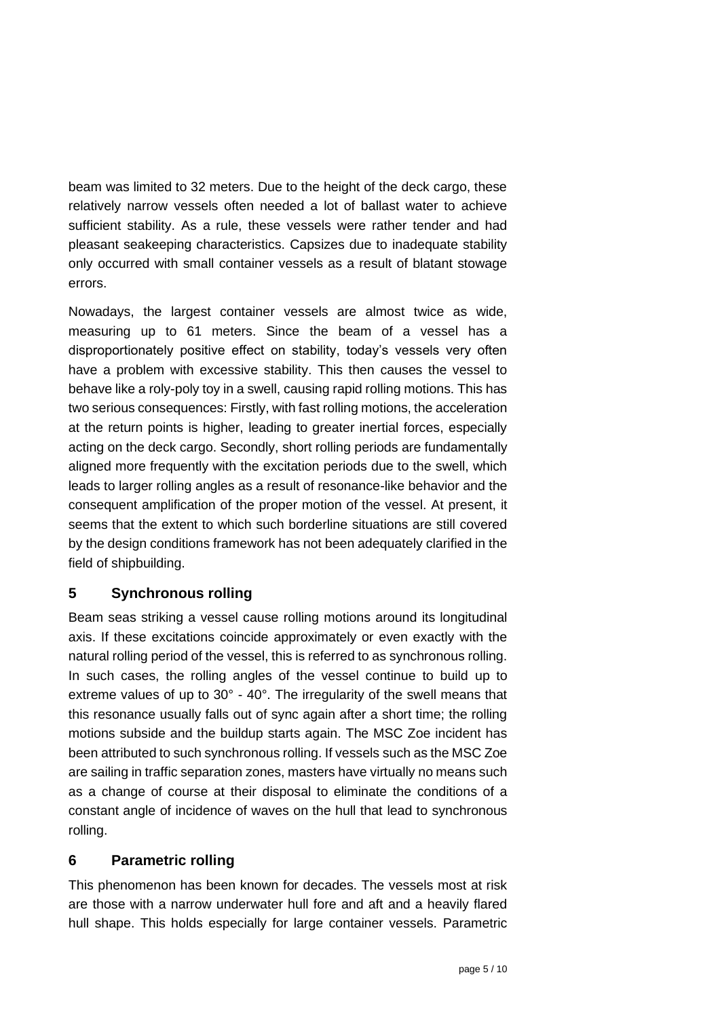beam was limited to 32 meters. Due to the height of the deck cargo, these relatively narrow vessels often needed a lot of ballast water to achieve sufficient stability. As a rule, these vessels were rather tender and had pleasant seakeeping characteristics. Capsizes due to inadequate stability only occurred with small container vessels as a result of blatant stowage errors.

Nowadays, the largest container vessels are almost twice as wide, measuring up to 61 meters. Since the beam of a vessel has a disproportionately positive effect on stability, today's vessels very often have a problem with excessive stability. This then causes the vessel to behave like a roly-poly toy in a swell, causing rapid rolling motions. This has two serious consequences: Firstly, with fast rolling motions, the acceleration at the return points is higher, leading to greater inertial forces, especially acting on the deck cargo. Secondly, short rolling periods are fundamentally aligned more frequently with the excitation periods due to the swell, which leads to larger rolling angles as a result of resonance-like behavior and the consequent amplification of the proper motion of the vessel. At present, it seems that the extent to which such borderline situations are still covered by the design conditions framework has not been adequately clarified in the field of shipbuilding.

#### <span id="page-4-0"></span>**5 Synchronous rolling**

Beam seas striking a vessel cause rolling motions around its longitudinal axis. If these excitations coincide approximately or even exactly with the natural rolling period of the vessel, this is referred to as synchronous rolling. In such cases, the rolling angles of the vessel continue to build up to extreme values of up to 30° - 40°. The irregularity of the swell means that this resonance usually falls out of sync again after a short time; the rolling motions subside and the buildup starts again. The MSC Zoe incident has been attributed to such synchronous rolling. If vessels such as the MSC Zoe are sailing in traffic separation zones, masters have virtually no means such as a change of course at their disposal to eliminate the conditions of a constant angle of incidence of waves on the hull that lead to synchronous rolling.

#### <span id="page-4-1"></span>**6 Parametric rolling**

This phenomenon has been known for decades. The vessels most at risk are those with a narrow underwater hull fore and aft and a heavily flared hull shape. This holds especially for large container vessels. Parametric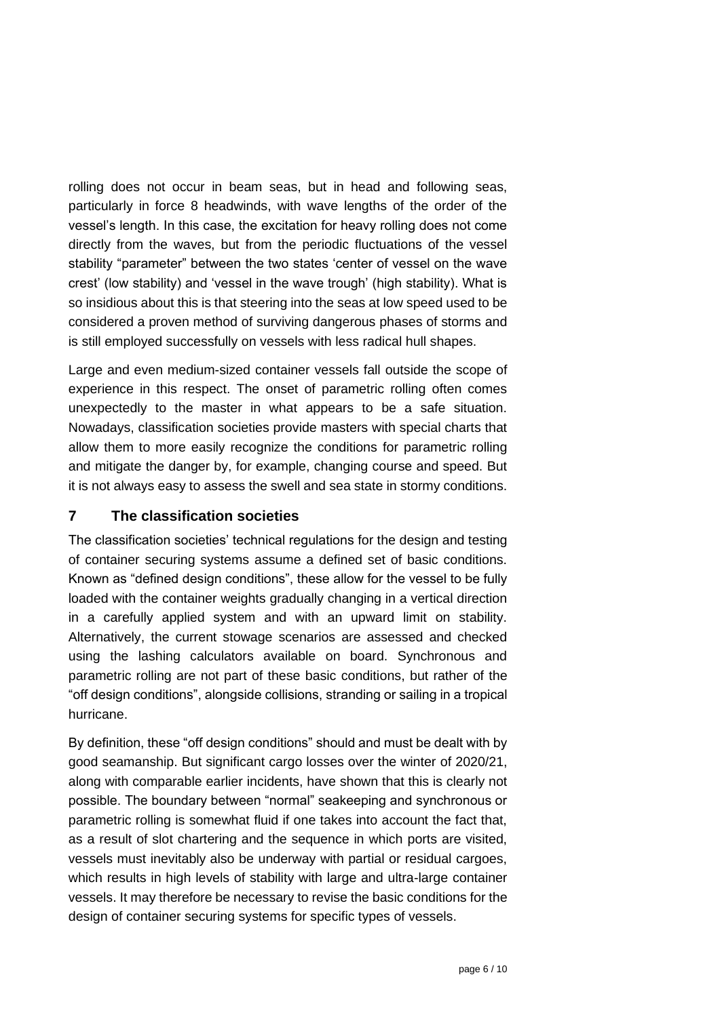rolling does not occur in beam seas, but in head and following seas, particularly in force 8 headwinds, with wave lengths of the order of the vessel's length. In this case, the excitation for heavy rolling does not come directly from the waves, but from the periodic fluctuations of the vessel stability "parameter" between the two states 'center of vessel on the wave crest' (low stability) and 'vessel in the wave trough' (high stability). What is so insidious about this is that steering into the seas at low speed used to be considered a proven method of surviving dangerous phases of storms and is still employed successfully on vessels with less radical hull shapes.

Large and even medium-sized container vessels fall outside the scope of experience in this respect. The onset of parametric rolling often comes unexpectedly to the master in what appears to be a safe situation. Nowadays, classification societies provide masters with special charts that allow them to more easily recognize the conditions for parametric rolling and mitigate the danger by, for example, changing course and speed. But it is not always easy to assess the swell and sea state in stormy conditions.

#### <span id="page-5-0"></span>**7 The classification societies**

The classification societies' technical regulations for the design and testing of container securing systems assume a defined set of basic conditions. Known as "defined design conditions", these allow for the vessel to be fully loaded with the container weights gradually changing in a vertical direction in a carefully applied system and with an upward limit on stability. Alternatively, the current stowage scenarios are assessed and checked using the lashing calculators available on board. Synchronous and parametric rolling are not part of these basic conditions, but rather of the "off design conditions", alongside collisions, stranding or sailing in a tropical hurricane.

By definition, these "off design conditions" should and must be dealt with by good seamanship. But significant cargo losses over the winter of 2020/21, along with comparable earlier incidents, have shown that this is clearly not possible. The boundary between "normal" seakeeping and synchronous or parametric rolling is somewhat fluid if one takes into account the fact that, as a result of slot chartering and the sequence in which ports are visited, vessels must inevitably also be underway with partial or residual cargoes, which results in high levels of stability with large and ultra-large container vessels. It may therefore be necessary to revise the basic conditions for the design of container securing systems for specific types of vessels.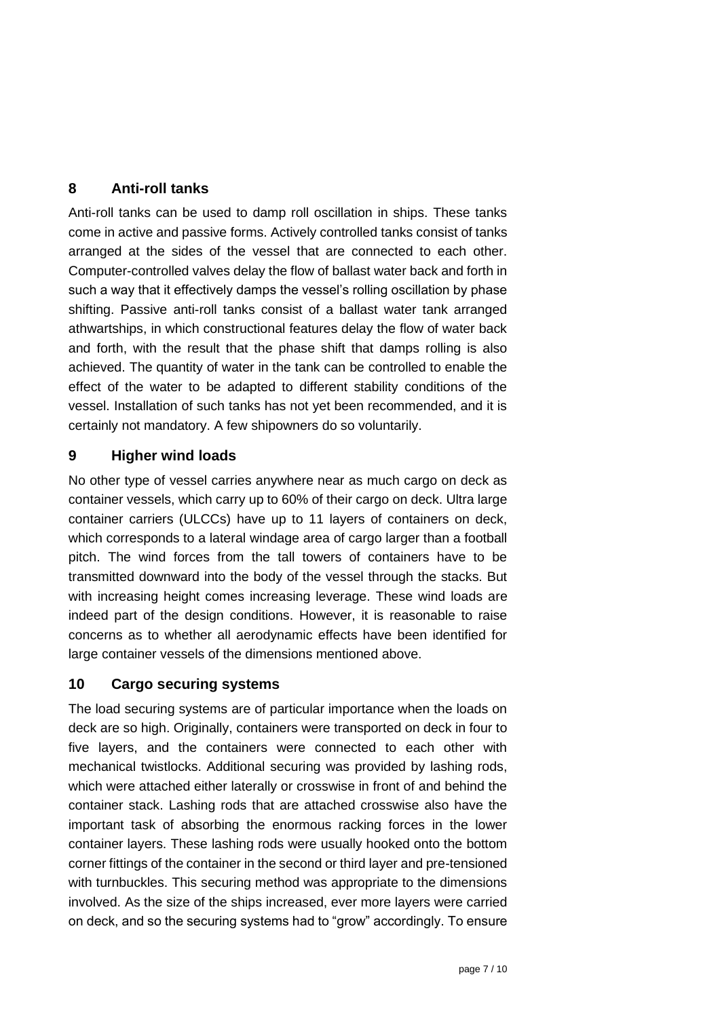#### <span id="page-6-0"></span>**8 Anti-roll tanks**

Anti-roll tanks can be used to damp roll oscillation in ships. These tanks come in active and passive forms. Actively controlled tanks consist of tanks arranged at the sides of the vessel that are connected to each other. Computer-controlled valves delay the flow of ballast water back and forth in such a way that it effectively damps the vessel's rolling oscillation by phase shifting. Passive anti-roll tanks consist of a ballast water tank arranged athwartships, in which constructional features delay the flow of water back and forth, with the result that the phase shift that damps rolling is also achieved. The quantity of water in the tank can be controlled to enable the effect of the water to be adapted to different stability conditions of the vessel. Installation of such tanks has not yet been recommended, and it is certainly not mandatory. A few shipowners do so voluntarily.

#### <span id="page-6-1"></span>**9 Higher wind loads**

No other type of vessel carries anywhere near as much cargo on deck as container vessels, which carry up to 60% of their cargo on deck. Ultra large container carriers (ULCCs) have up to 11 layers of containers on deck, which corresponds to a lateral windage area of cargo larger than a football pitch. The wind forces from the tall towers of containers have to be transmitted downward into the body of the vessel through the stacks. But with increasing height comes increasing leverage. These wind loads are indeed part of the design conditions. However, it is reasonable to raise concerns as to whether all aerodynamic effects have been identified for large container vessels of the dimensions mentioned above.

#### <span id="page-6-2"></span>**10 Cargo securing systems**

The load securing systems are of particular importance when the loads on deck are so high. Originally, containers were transported on deck in four to five layers, and the containers were connected to each other with mechanical twistlocks. Additional securing was provided by lashing rods, which were attached either laterally or crosswise in front of and behind the container stack. Lashing rods that are attached crosswise also have the important task of absorbing the enormous racking forces in the lower container layers. These lashing rods were usually hooked onto the bottom corner fittings of the container in the second or third layer and pre-tensioned with turnbuckles. This securing method was appropriate to the dimensions involved. As the size of the ships increased, ever more layers were carried on deck, and so the securing systems had to "grow" accordingly. To ensure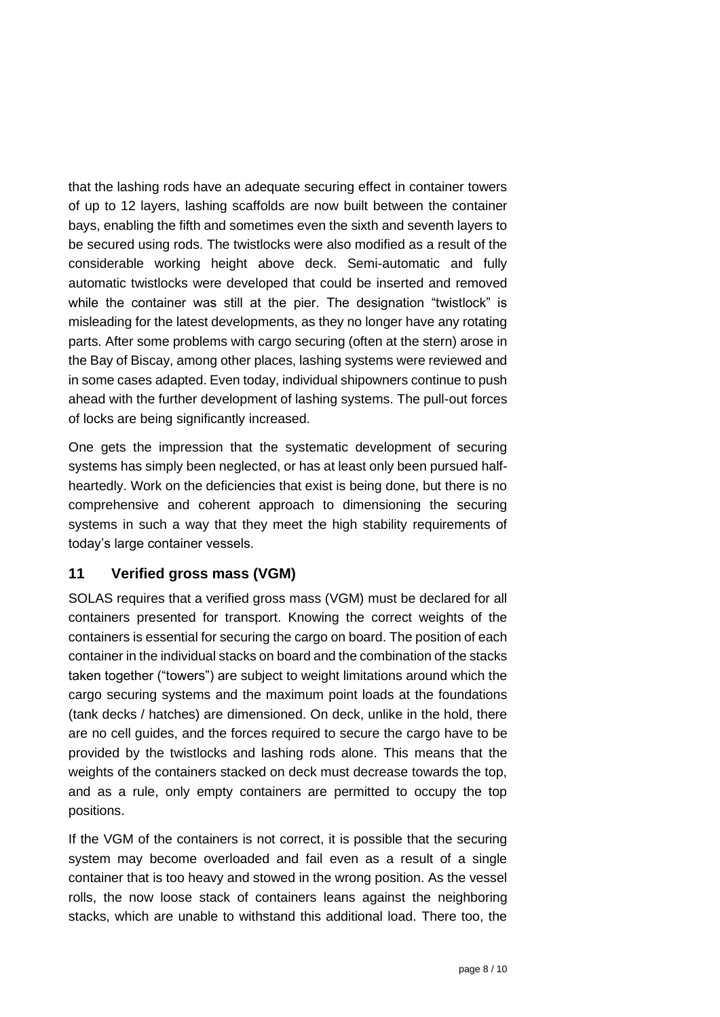that the lashing rods have an adequate securing effect in container towers of up to 12 layers, lashing scaffolds are now built between the container bays, enabling the fifth and sometimes even the sixth and seventh layers to be secured using rods. The twistlocks were also modified as a result of the considerable working height above deck. Semi-automatic and fully automatic twistlocks were developed that could be inserted and removed while the container was still at the pier. The designation "twistlock" is misleading for the latest developments, as they no longer have any rotating parts. After some problems with cargo securing (often at the stern) arose in the Bay of Biscay, among other places, lashing systems were reviewed and in some cases adapted. Even today, individual shipowners continue to push ahead with the further development of lashing systems. The pull-out forces of locks are being significantly increased.

One gets the impression that the systematic development of securing systems has simply been neglected, or has at least only been pursued halfheartedly. Work on the deficiencies that exist is being done, but there is no comprehensive and coherent approach to dimensioning the securing systems in such a way that they meet the high stability requirements of today's large container vessels.

#### <span id="page-7-0"></span>**11 Verified gross mass (VGM)**

SOLAS requires that a verified gross mass (VGM) must be declared for all containers presented for transport. Knowing the correct weights of the containers is essential for securing the cargo on board. The position of each container in the individual stacks on board and the combination of the stacks taken together ("towers") are subject to weight limitations around which the cargo securing systems and the maximum point loads at the foundations (tank decks / hatches) are dimensioned. On deck, unlike in the hold, there are no cell guides, and the forces required to secure the cargo have to be provided by the twistlocks and lashing rods alone. This means that the weights of the containers stacked on deck must decrease towards the top, and as a rule, only empty containers are permitted to occupy the top positions.

If the VGM of the containers is not correct, it is possible that the securing system may become overloaded and fail even as a result of a single container that is too heavy and stowed in the wrong position. As the vessel rolls, the now loose stack of containers leans against the neighboring stacks, which are unable to withstand this additional load. There too, the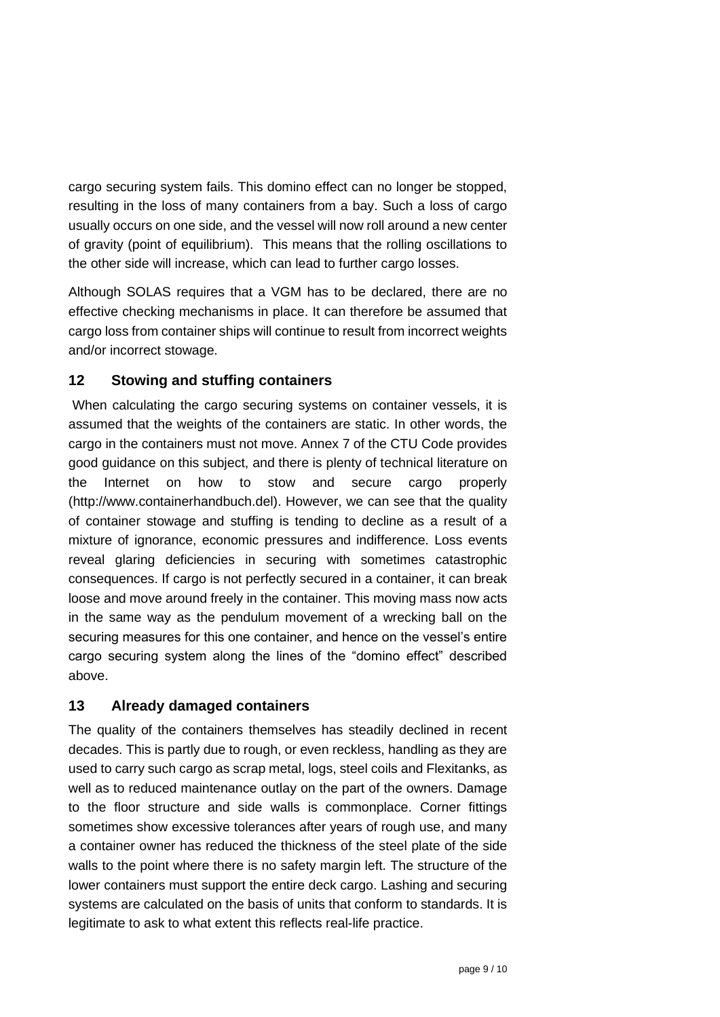cargo securing system fails. This domino effect can no longer be stopped, resulting in the loss of many containers from a bay. Such a loss of cargo usually occurs on one side, and the vessel will now roll around a new center of gravity (point of equilibrium). This means that the rolling oscillations to the other side will increase, which can lead to further cargo losses.

Although SOLAS requires that a VGM has to be declared, there are no effective checking mechanisms in place. It can therefore be assumed that cargo loss from container ships will continue to result from incorrect weights and/or incorrect stowage.

#### <span id="page-8-0"></span>**12 Stowing and stuffing containers**

When calculating the cargo securing systems on container vessels, it is assumed that the weights of the containers are static. In other words, the cargo in the containers must not move. Annex 7 of the CTU Code provides good guidance on this subject, and there is plenty of technical literature on the Internet on how to stow and secure cargo properly (http://www.containerhandbuch.del). However, we can see that the quality of container stowage and stuffing is tending to decline as a result of a mixture of ignorance, economic pressures and indifference. Loss events reveal glaring deficiencies in securing with sometimes catastrophic consequences. If cargo is not perfectly secured in a container, it can break loose and move around freely in the container. This moving mass now acts in the same way as the pendulum movement of a wrecking ball on the securing measures for this one container, and hence on the vessel's entire cargo securing system along the lines of the "domino effect" described above.

#### <span id="page-8-1"></span>**13 Already damaged containers**

The quality of the containers themselves has steadily declined in recent decades. This is partly due to rough, or even reckless, handling as they are used to carry such cargo as scrap metal, logs, steel coils and Flexitanks, as well as to reduced maintenance outlay on the part of the owners. Damage to the floor structure and side walls is commonplace. Corner fittings sometimes show excessive tolerances after years of rough use, and many a container owner has reduced the thickness of the steel plate of the side walls to the point where there is no safety margin left. The structure of the lower containers must support the entire deck cargo. Lashing and securing systems are calculated on the basis of units that conform to standards. It is legitimate to ask to what extent this reflects real-life practice.